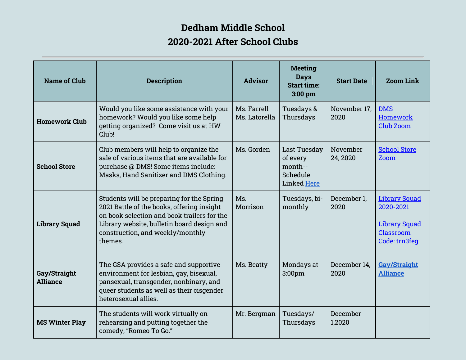## **Dedham Middle School 2020-2021 After School Clubs**

| <b>Name of Club</b>             | <b>Description</b>                                                                                                                                                                                                                  | <b>Advisor</b>               | <b>Meeting</b><br><b>Days</b><br><b>Start time:</b><br>$3:00$ pm | <b>Start Date</b>    | <b>Zoom Link</b>                                                                        |
|---------------------------------|-------------------------------------------------------------------------------------------------------------------------------------------------------------------------------------------------------------------------------------|------------------------------|------------------------------------------------------------------|----------------------|-----------------------------------------------------------------------------------------|
| <b>Homework Club</b>            | Would you like some assistance with your<br>homework? Would you like some help<br>getting organized? Come visit us at HW<br>Club!                                                                                                   | Ms. Farrell<br>Ms. Latorella | Tuesdays &<br>Thursdays                                          | November 17,<br>2020 | <b>DMS</b><br>Homework<br><b>Club Zoom</b>                                              |
| <b>School Store</b>             | Club members will help to organize the<br>sale of various items that are available for<br>purchase @ DMS! Some items include:<br>Masks, Hand Sanitizer and DMS Clothing.                                                            | Ms. Gorden                   | Last Tuesday<br>of every<br>month--<br>Schedule<br>Linked Here   | November<br>24, 2020 | <b>School Store</b><br>Zoom                                                             |
| <b>Library Squad</b>            | Students will be preparing for the Spring<br>2021 Battle of the books, offering insight<br>on book selection and book trailers for the<br>Library website, bulletin board design and<br>construction, and weekly/monthly<br>themes. | Ms.<br>Morrison              | Tuesdays, bi-<br>monthly                                         | December 1.<br>2020  | <b>Library Squad</b><br>2020-2021<br><b>Library Squad</b><br>Classroom<br>Code: trn3feq |
| Gay/Straight<br><b>Alliance</b> | The GSA provides a safe and supportive<br>environment for lesbian, gay, bisexual,<br>pansexual, transgender, nonbinary, and<br>queer students as well as their cisgender<br>heterosexual allies.                                    | Ms. Beatty                   | Mondays at<br>3:00pm                                             | December 14,<br>2020 | <b>Gay/Straight</b><br><b>Alliance</b>                                                  |
| <b>MS Winter Play</b>           | The students will work virtually on<br>rehearsing and putting together the<br>comedy, "Romeo To Go."                                                                                                                                | Mr. Bergman                  | Tuesdays/<br>Thursdays                                           | December<br>1,2020   |                                                                                         |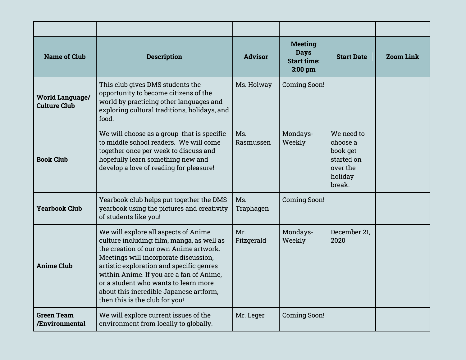| <b>Name of Club</b>                           | <b>Description</b>                                                                                                                                                                                                                                                                                                                                                                 | <b>Advisor</b>    | <b>Meeting</b><br><b>Days</b><br><b>Start time:</b><br>$3:00$ pm | <b>Start Date</b>                                                                 | <b>Zoom Link</b> |
|-----------------------------------------------|------------------------------------------------------------------------------------------------------------------------------------------------------------------------------------------------------------------------------------------------------------------------------------------------------------------------------------------------------------------------------------|-------------------|------------------------------------------------------------------|-----------------------------------------------------------------------------------|------------------|
| <b>World Language/</b><br><b>Culture Club</b> | This club gives DMS students the<br>opportunity to become citizens of the<br>world by practicing other languages and<br>exploring cultural traditions, holidays, and<br>food.                                                                                                                                                                                                      | Ms. Holway        | <b>Coming Soon!</b>                                              |                                                                                   |                  |
| <b>Book Club</b>                              | We will choose as a group that is specific<br>to middle school readers. We will come<br>together once per week to discuss and<br>hopefully learn something new and<br>develop a love of reading for pleasure!                                                                                                                                                                      | Ms.<br>Rasmussen  | Mondays-<br>Weekly                                               | We need to<br>choose a<br>book get<br>started on<br>over the<br>holiday<br>break. |                  |
| <b>Yearbook Club</b>                          | Yearbook club helps put together the DMS<br>yearbook using the pictures and creativity<br>of students like you!                                                                                                                                                                                                                                                                    | Ms.<br>Traphagen  | Coming Soon!                                                     |                                                                                   |                  |
| <b>Anime Club</b>                             | We will explore all aspects of Anime<br>culture including: film, manga, as well as<br>the creation of our own Anime artwork.<br>Meetings will incorporate discussion,<br>artistic exploration and specific genres<br>within Anime. If you are a fan of Anime,<br>or a student who wants to learn more<br>about this incredible Japanese artform,<br>then this is the club for you! | Mr.<br>Fitzgerald | Mondays-<br>Weekly                                               | December 21,<br>2020                                                              |                  |
| <b>Green Team</b><br>/Environmental           | We will explore current issues of the<br>environment from locally to globally.                                                                                                                                                                                                                                                                                                     | Mr. Leger         | Coming Soon!                                                     |                                                                                   |                  |